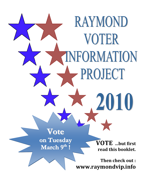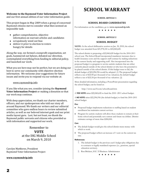## **Welcome to the Raymond Voter Information Project**

and our first annual edition of our voter information guide.

This project began in May 2009 when a group of concerned Raymond citizens met to consider what then seemed an impossible task:

- gather comprehensive, objective information on warrant articles and candidates
- scrupulously weed out bias
- deliver it prior to election to voters hungry for details

Along the way, we formed a nonprofit organization, set goals, hammered out bylaws, debated our direction, contemplated everything from funding to editorial policy, and launched our work.

What you see here may not be perfect, but we are doing our best to serve our community with objective election information. We welcome your suggestions for future issues and invite you to respond via our website at:

## [www.raymondvip.info](http://www.raymondvip.info/)

If you like what you see, consider joining the **Raymond Voter Information Project** or making a donation so that our work may continue.

With deep appreciation, we thank our charter members, officers, and our spokesperson who told our story all around Raymond. We thank our writers and our editorial committee who gave endless hours to review submitted articles, as well as our beloved internet geek and our print media layout guru. Last, but not least, we thank the Raymond public servants and citizens who provided us with information and supported our work.

## Remember to **VOTE** at the IHG Middle School on March 9, 2010

Carolyn Matthews, President Raymond Voter Information Project

## **[www.raymondvip.info](http://www.raymondvip.info/)**

# **SCHOOL WARRANT**

## **SCHOOL ARTICLE 1**

## **SCHOOL BOARD CANIDIDATES**

For information on the candidates, go to **www.raymondvip.info**

\* \* \* \* \* \*

## **SCHOOL ARTICLE 2**

## **SCHOOL BUDGET**

**NOTE:** At the school deliberative session on Jan. 30, 2010, the school budget was amended from \$21,978,341 to \$22,060,620.

The school district is proposing a \$22,060,620 budget for the 2010-2011 school year. The School Board incorporated mandatory increases due to health insurance costs and the support staff contract by making reductions in the current faculty and supporting staff. Also incorporated into the proposed budget is a program to service autistic students that are either currently placed outside of the school district or who have the potential to be placed outside of the school district. If this budget were to fail, the default budget of \$22,296,956 would be adopted. (1) The proposed budget reflects a tax of \$22.00 per thousand of tax valuation; the default budget reflects a tax of \$22.24 per thousand of tax valuation. (2)

More detailed information, including a PowerPoint presentation regarding the school budget, can be found at:

<http://www.sau33.com/schoolboard.htm>

A **YES VOTE** raises \$22,060,620 to fund the 2010 -2011 school budget.

A **NO VOTE** raises \$22,296,956 (the default budget) to fund the 2010-2011 school budget.

#### **Pro:**

- Proposed budget implements reductions to staffing based on student enrollment but maintains current services.
- $\bullet$ Program for autistic students will allow these students to remain at their home school and potentially save current and future tax dollars. District estimates savings of more than \$280,000.

#### **Con:**

- The default budget would give the school district more money with which to work.
- The proposed budget reflects an increase of 1 cent on the current tax  $\bullet$ rate.

## **References:**

- 1. The default budget is the previous year's budget plus obligations due to contracts or legally mandated expenses (i.e., pensions, special education services).
- 2. Ron Brickett, SAU 33 Business Administrator

\* \* \* \* \* \*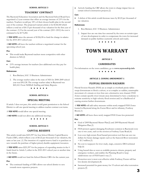#### **SCHOOL ARTICLE 3**

## **TEACHERS' CONTRACT**

The Raymond Education Association and the Raymond School Board have negotiated a 2-year contract that offers an average increase of 2.9% for the teachers. Teachers would pay 18% of their chosen health plan in the second year of the contract. The proposed warrant article is for \$128,368 which reflects a total tax of \$0.13 per thousand of tax valuation for the first year of the contract. (1) For the second year of the contract (2011-2012) the cost is estimated to be \$173,282.

A **YES VOTE** raises the amount of \$128,638 to fund the change in salaries for the 2010-2011 school year.

A **NO VOTE** will leave the teachers without a negotiated contact for the upcoming school year.

#### **Pro:**

This would make Raymond teachers more competitive with other districts in NH.(2)

#### **Con:**

2.9% average increase for teachers (less additional cost they pay for health plan).

#### **References:**

- 1. Ron Brickett, SAU 33 Business Administrator
- 2. The average teacher salary in the state of NH for 2008-2009 school year was \$50,128. The average teacher salary in Raymond was \$45,163. From [NHDoE Staffing and Salary Reports.](http://www.ed.state.nh.us/education/data/staffing.htm)

\* \* \* \* \* \*

#### **SCHOOL ARTICLE 4**

#### **SPECIAL MEETING**

If article 3 does not pass, this article would grant permission to the School District to call one special meeting to address teacher contract cost items.

A **YES VOTE** would allow one special meeting.

A **NO VOTE** would not allow any additional meetings.

\* \* \* \* \*

#### **SCHOOL ARTICLE 5**

#### **CAPITAL RESERVE**

This article would raise \$221,997 for four School District Capital Reserve Funds (CRF), which reflects a tax of \$0.22 per thousand of tax valuation, the same as last year. (1) The intention of a capital reserve fund is to purchase or save towards the purchase of higher priced, durable equipment/resources.

A **YES VOTE** raises \$221,997 for the purpose of expending monies in the 4 funds listed in Article 5, either in the 2010-2011 school year or another time in the future.

A **NO VOTE** would not fund the School District CRFs for the current year.

#### **Pro:**

The continued funding of CRFs allows our school district to save  $\bullet$ towards more expensive projects.

Actively funding the CRF allows the town to charge impact fees on  $\bullet$ certain school construction projects.(2)

#### **Con:**

A defeat of this article would decrease taxes by \$0.22 per thousand of  $\bullet$ tax valuation.

#### **References:**

- 1. Ron Brickett, SAU 33 Business Administrator
- 2. Impact fees are one time fees assessed by the town on certain types of new development in order to compensate the town for increased demand on public facilities (currently schools and roads).

\* \* \* \* \* \*

## **TOWN WARRANT**

#### **ARTICLE 1**

## **CANIDIDATES**

For information on the town candidates, go to **www.raymondvip.info**

\* \* \* \* \*

#### **ARTICLE 2: ZONING AMENDMENT 1**

### **FLUVIAL EROSION HAZARDS**

Fluvial Erosion Hazards (FEH) are as simple as riverbank picnic tables swept downstream to block a culvert, or as complex as sudden, catastrophic movement of a stream or river that cuts a destructive new channel. FEH Zones contain specific river/stream areas determined to have a moderate to extreme sensitivity to high-velocity flood erosion and/or a likelihood of causing erosion further downstream.

A **YES VOTE** will add safety measures within newly mapped FEH Zones located in Raymond along the Exeter River and its tributary, Fordway Brook.(1)

A **NO VOTE** will leave these newly mapped FEH Zones less protected.

**Pro:**

- Goal of 2009 Raymond Master Plan(2) and 2009 Raymond Hazard  $\bullet$ Mitigation Plan.(3)
- FEH protects against damaging floodwater common in Raymond every one to two years, such as the erosion at Fordway/Lane Road.(4)
- Low-cost, high-return flood hazard prevention tool that can save tax dollars for future damage repairs such as the Suncook River restoration  $= $1.3 \text{ million}.(5)$
- No cost to taxpayers for river study, maps, extensive DES technical help.(6)
- Using hazard data as soon as available protects citizens, property and  $\bullet$ emergency workers, and enables the Planning Board to keep subdivisions out of FEH harm's way.(7)
- Protection now is most cost-effective while Fordway/Exeter still has  $\bullet$ low density development.(8)
- Increased potential for grant money for 19 culvert and other restoration projects.(9)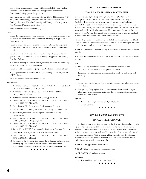- Lower flood insurance rates since FEMA rewards FEH as a "higher  $\bullet$ standard" once Raymond completes its application for the free Community Rating System Program.(10)
- Endorsements for FEH ordinance: FEMA, 2009 NH Legislation (HB 290), NH Public Safety, Transportation, Environmental Services, Geological Survey, Homeland Security and Emergency Management; NH Associated General Contractors.(11)
- Adds protection for water quality(12)

#### **Con:**

- Limits development allowed on portions of lots within the hazard zone for several residential and one commercial property in mapped FEH Zone areas.(13)
- Requires landowner who wishes to exceed his allowed development options within the FEH Zone to seek a Planning Board administered permit.
- Requires a landowner who wishes to build in a prohibited zone, or question the FEH boundary on his property, to appeal to the Zoning Board of Adjustment.
- May add to developer's survey and engineering costs if FEH boundary must be surveyed on FEH zoned land.
- Requires additional record keeping by the Code Enforcement officer.
- May require developer to alter his site plan to keep his development out of FEH Zone.
- FEH ordinance untested elsewhere in NH

#### **References:**

- 1. Raymond's Fordway Brook/Exeter River Watershed is located south of Rte 101 & drains 1/3 of Raymond
- 2. Raymond Master Plan (2009) p. 24 Vol. 1 Raymond Hazard Mitigation Plan (2009)
- 3. Raymond Hazard Mitigation Plan (2009), p. ix and 80
- 4. [EXETER RIVER GEOMORPHIC ASSESSMENT AND WATERSHED-BASED](http://des.nh.gov/organization/divisions/water/wmb/was/watershed_based_plans.htm)  [PLAN,](http://des.nh.gov/organization/divisions/water/wmb/was/watershed_based_plans.htm) 3/2009, NH DES, p. 52.
- 5. Steve Landry, NH Department Environmental Services
- 6. Shane Csiki, NH Geological Survey, FEH Program Leader in NH
- 7. Jack Munn, Southern New Hampshire Regional Planning Commission
- 8. [EXETER RIVER GEOMORPHIC ASSESSMENT AND WATERSHED-BASED](http://des.nh.gov/organization/divisions/water/wmb/was/watershed_based_plans.htm)  [PLAN](http://des.nh.gov/organization/divisions/water/wmb/was/watershed_based_plans.htm), 3/2009, NH DES, p. 31, p. 44
- 9. [EXETER RIVER GEOMORPHIC ASSESSMENT AND WATERSHED-BASED](http://des.nh.gov/organization/divisions/water/wmb/was/watershed_based_plans.htm)  [PLAN](http://des.nh.gov/organization/divisions/water/wmb/was/watershed_based_plans.htm), 3/2009, NH DES, p. 63
- 10. Jimmy Chinn, FEMA Community Rating System Regional Director.
- 11. Non-profit trade organization in existence since 1949.
- 12. [EXETER RIVER GEOMORPHIC ASSESSMENT AND WATERSHED-BASED](http://des.nh.gov/organization/divisions/water/wmb/was/watershed_based_plans.htm)  [PLAN](http://des.nh.gov/organization/divisions/water/wmb/was/watershed_based_plans.htm), 3/2009, NH DES, p. 5
- 13. To examine the following impacts of the ordinance on landowners, see the proposed Fluvial Erosion Hazard Overlay District amendment and the FEH maps located at [www.raymondnh.com](http://www.raymondnh.gov/boards/planning/planning.php)

\* \* \* \* \* \*

#### **ARTICLE 3: ZONING AMENDMENT 2**

## **ZONE A - EMERGENCY WATER LINE**

This article would give the planning board time to plan for orderly development of land served by new town water mains extending from Batchelder Road to the area adjacent to the Mottolo Superfund site. Generally homes built in residential areas not served by town water must have at least 2 acres, 200 feet of road frontage and be at least 50 feet from all property lines. In residential areas served by town water, known as Zone A, homes require  $\frac{1}{2}$  acre, 100 feet of road frontage and be at least 25 feet back from the road and 10 feet from other boundaries.(1)

Historically, when new water lines are installed, the residentially zoned land along the route is automatically rezoned so that it can be developed with the smaller lot size, road frontage and setbacks.

A **YES VOTE** maintains current zoning in the Mottolo neighborhoods for 18 months.

A **NO VOTE** may allow immediate Zone A designation once the water line is in place.

#### **Pro:**

- The Planning Board would have 18 months to respond to these circumstances and allow time for public comment.
- Temporary moratoriums on changes are the usual way to handle such cases.(2)

#### **Con:**

- Landowners would not be able to exercise their new development rights immediately.
- Passage may delay higher density development that otherwise might allow landowners to take advantage of the requirements for properties served by Town water.

#### **References:**

- 1. [Raymond Zoning Ordinance](http://www.raymondnh.gov/planning/planning_20_1773807348.pdf) 3.210, 4.100, 5.100
- 2. Town Counsel

\* \* \* \* \* \*

#### **ARTICLE 4: ZONING AMENDMENT 3**

## **IMPACT FEES CHANGE**

Impact Fees are one-time fees assessed by the Town of Raymond on certain types of new development in order to compensate the town for increased demand on public services (currently schools and roads). This amendment will add clarifying language to 7.504.0(1) to explain that "new development" categories are listed in 7.503 (a-d) and adds a reminder that the Planning Board must develop a method by which it will make assessments before collecting on a particular category of fee.

A **YES VOTE** supports this clarification.

A **NO VOTE** leaves the present wording in place.

No PRO/CON: administrative only.

#### **Reference:**

1. [Raymond Zoning Ordinance](http://www.raymondnh.gov/planning/planning_20_1773807348.pdf) for Impact Fee

\* \* \* \* \* \*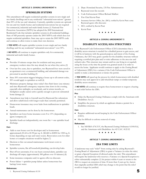#### **ARTICLE 5: ZONING AMENDMENT 4**

#### **SPRINKLER SYSTEMS**

This amendment will require residential sprinkler systems in new single and two family dwellings and in any residential "substantial renovations" (greater than 50% of the tax card valuation). Currently, sprinkler systems are optional for one and two family homes and residential renovations but are required for commercial, industrial and multi-family homes.(1) National Fire Protection Association (NFPA) has adopted the 2009 International Residential Code that includes sprinkler systems in all residential buildings. State of NH presently operates under the 2003 NFPA code which does not require residential sprinklers. State may opt to retain the 2003 NFPA code and continue to allow towns to make their own decision.

A **YES VOTE** will require sprinkler systems in new single and two family dwellings and for any residential "substantial renovations" over 50%.

A **NO VOTE** will continue to require sprinklers only for commercial, industrial and multi-family homes.

#### **Pro:**

- Provides 10 minute escape time for residents and may protect emergency workers since fire may already be out when they arrive.(2)
- Over last five years, due to sprinklers, two Raymond lives were saved in an apartment over a commercial building, and substantial damage was prevented in another building.(3)
- Since 50% renovation triggers bringing a house up to all current codes, 50% would apply to sprinklers as well.(4)
- Minimizes property damage since today's fires flash faster (one minute) and since Raymond's emergency response time slows in the evening, especially after midnight, on weekends, and in winter months, so firefighters usually cannot arrive quickly enough to prevent substantial home damage.(5)
- Amendment may help to forestall need for Raymond fire substations and allow subdivisions with longer roads than currently permitted.
- Homeowner insurance may cover leaks from malfunctions in sprinkler heads.
- Annual maintenance can be done by the homeowner.
- Sprinklers can lower home insurance costs 8 to 13% (depending on agent/company).(6)
- Sprinkler heads act independently; one room fire = one sprinkler head discharge.

#### **Con:**

- Adds to new house cost for developer and/or homeowner  $\bullet$ approximately \$1.64 to \$1.90 per sq. ft. (\$2,460 to \$2850 for 1500 sq. ft. home) depending on type and water source. Renovation costs for older homes or complex situations would be higher.(7)
- Decision to hire out annual maintenance work incurs costs to homeowner.
- Sprinkler systems, like all household plumbing, can develop leaks.
- Shut off not automatic; if no one hears external alarm, sprinkler can  $\bullet$ discharge till empty (approximately 300 gallons over 10 minutes).(8)
- Some insurance companies and/or agents offer no discount.
- Power failure = sprinkler pump failure unless homeowner has  $\bullet$ backup/town water.

#### **References:**

1. [Raymond Zoning Ordinance](http://www.raymondnh.gov/planning/planning_20_1773807348.pdf) 8.110

- 2. Dept. Homeland Security, [US Fire Administration](http://www.usfa.dhs.gov/)
- 3. Raymond town fire records
- 4. Code Enforcement Officer Richard Mailhot
- 5. Fire Chief Kevin Pratt
- 6. [Insurance Services Office,](http://www.iso.com/Research-and-Analyses/Studies-and-Whitepapers/Effective-Fire-Protection-A-National-Concern.html) Inc. (ISO), verified by Kevin Pratt: some Raymond agents offer discounts
- 7. ISO, verified by Kevin Pratt
- 8. Kevin Pratt

## \* \* \* \*

#### **ARTICLE 6: ZONING AMENDMENT 5**

## **DISABILITY ACCESS/ADA STRUCTURES**

If the Raymond Code Enforcement Officer (CEO) determines that a disability access structure is needed for a disabled person to gain access, and it will be in harmony with the general purpose and intent of the Zoning Ordinance, the CEO may grant a permit for the disability structure without requiring a certified plot plan and/or strict adherence to the area size and setback rules. This structure may remain until no one living in or regularly using the house at the time the permit was granted needs it in order to access the home. Applicants would continue to apply to the Zoning Board of Adjustment (ZBA) for a variance if the Code Enforcement Officer is unable to make a determination or denies the permit.

A **YES VOTE** will speed up the process by which homeowners with disabled residents may seek approval to add wheelchair ramps or similar temporary disability access structures.

A **NO VOTE** will continue to require these homeowners to request a hearing to seek relief before the ZBA.

#### **Pro:**

- $\bullet$ Helps the Raymond Zoning Ordinance comply with the Americans with Disabilities Act.(1)
- Simplifies the process by which an applicant obtains a permit for a  $\bullet$ disabilities structure.

#### **Con:**

- Requires additional record keeping by the Code Enforcement Officer  $\bullet$ (CEO).
- May be difficult to enforce removal of ramp.

#### **References:**

1. See NH RSA 674.33.V, the [Raymond Zoning Ordinance](http://www.raymondnh.gov/planning/planning_20_1773807348.pdf) 8.100.03.d, and the [Americans with Disabilities Act](http://www.ada.gov/) 42 U.S.C. 812132

#### **★ ★ ★ ★ ★ ★**

#### **ARTICLE 7: ZONING AMENDMENT 6**

#### **ZBA TIME LIMITS**

A landowner may seek "relief" from zoning rules by asking Raymond's Zoning Board of Adjustment (ZBA) to grant a Variance (to relax the rules) or grant a Special Exception (if allowed under the rule). This amendment will require the landowner who receives a Variance or a Special Exception to either substantially complete (1) his project within 4 years or return to the ZBA to request an extension of time. If more than 4 years go by, factors that originally justified ZBA relief may change to the point that the relief would no longer be justified.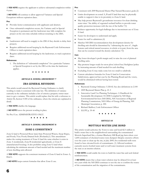A **YES VOTE** requires the applicant to achieve substantial completion within 4 years.

## A **NO VOTE** will continue to allow approved Variances and Special Exceptions without expiration dates.

#### **Pro:**

- $\bullet$ Provides better communication with applicants and abutters.
- Once substantial completion occurs, the Variance and/or Special  $\bullet$ Exception is permanent and the landowner may fully complete his project on his own time schedule without returning to the ZBA.

## **Con:**

- Landowners will need to reapply to the ZBA if they decide to delay their projects.
- Requires additional record keeping by the Raymond Code Enforcement Officer to track expiration dates.
- Requires additional record keeping by the landowner, to track expiration dates.

## **References:**

1. The definition of "substantial completion" for a particular Variance or Special Exception is set by the ZBA at the time the landowner applies.

\* \* \* \* \* \*

## **ARTICLE 8: ZONING AMENDMENT 7**

## **ZBA GENERAL REVISIONS**

This article would amend the Raymond Zoning Ordinance to clarify wording to make it consistent with state law. The definition of variance currently in the ordinance includes a list of criteria a property owner must meet to get a variance. This article would replace that list with a reference to Article IX, Section 9.300 of the ordinance, where the criteria are explained in detail.

A **YES VOTE** clarifies the language.

A **NO VOTE** leaves the present wording in place.

No Pro/Con. ADMINISTRATIVE ONLY.

\* \* \* \* \* \*

## **ARTICLE 9: ZONING AMENDMENT 8**

## **ZONE G CONSISTENCY**

Zone G land is Protected Shore land, State Protected Waters, Steep Slopes, and Poorly/Very Poorly Drained Soils (Wetlands)(1) This amendment makes the zoning treatment of Zone G land the same whether it exists in Zone A (residential), Zone B (residential/agricultural), or Zone E (manufactured housing). It also prohibits using Zone G land when calculating the minimum amount of land needed and the maximum number of new dwelling units allowed.

A **YES VOTE** supports the consistent treatment of Zone G land in Zones A, B & E.

A **NO VOTE** keeps current formulas that allow Zone G use.

#### **Pro:**

- Consistent with 2009 Raymond Master Plan Natural Resources goals.(2)
- Limits development on zoned A, B and E land that may be physically unable to support it due to its proximity to Zone G land.
- May help protect Raymond's groundwater resources for clean drinking  $\bullet$ water since "the ability of vegetated wetland buffers to provide water quality protection increases with the size of the buffer."(3)
- Reduces opportunity for legal challenge due to inconsistent use of Zone G land.
- Easier for developers to understand and apply.
- Easier for staff to administer.(4)
- Matches NH DES recommendation that development density for dwelling unit should be determined by "subtracting the area of ...fragile features and critical natural resources, in whole or in part, from the area that can be counted toward the density calculation."(5)

#### **Con:**

- May lower developer's profit margin and/or raise the cost of planned dwelling units.
- May promote longer roads for snow plow/school bus/firefighter/police by increasing amount of land needed for each dwelling.
- Excluding Zone G may make some lots too small to subdivide.  $\bullet$
- Current calculation formulas for Zone G land in Conservation Subdivisions, approved last year by the Planning Board and the voters, would be eliminated without having been tested.

### **References:**

- 1. [Raymond Zoning Ordinance](http://www.raymondnh.gov/planning/planning_20_1773807348.pdf) 3.320.02. See also definitions in 2.100
- 2. 2009 Raymond Master Plan p. 21-3
- 3. [Innovative Land Use Planning Techniques:](http://des.nh.gov/organization/divisions/water/wmb/repp/innovative_land_use.htm) A Handbook for Sustainable Development 10/2008 Compiled by NH Dept. Environmental Services (NH DES), NH Association of Regional Planning Commissions, NH Office of Energy & Planning, NH Municipal Association, p. 200.
- 4. Richard Mailhot, Code Enforcement Officer
- 5. ILUPT p. 39-40

\* \* \* \* \* \*

## **ARTICLE 10**

## **MOTTOLO WATER LINE BOND**

This article would authorize the Town to raise and bond \$2.5 million to build a water line to the neighborhood surrounding the contaminated Mottolo Superfund Site, a former Blueberry Hill Road pig farm where over 1,600 containers of chemical wastes were dumped. Despite extensive efforts over the years to clean up the site, in July 2009, five residential wells were found to have elevated levels of contaminants. (1) Affected residents currently receive bottled water and/or well water treatment systems from the state as an interim solution.

A **YES VOTE** would enable the town to build the water line and seek federal reimbursement.

A **NO VOTE** means that a clean water solution may be delayed for at least two years while the NH DES continues to test the site to confirm the source of the contamination and the migration of the contaminants.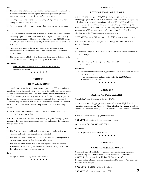#### **Pro:**

- The water line extension would eliminate concern about contamination  $\bullet$ in the residential well water supplies that may depress area property values and negatively impact Raymond's tax revenues.
- Funding a water line extension would bring a long-term clean water supply to the Blueberry Hill area.
- Businesses and residents along the new line could tie into town water.

#### **Con:**

- If federal reimbursement is not available, the water line extension could  $\bullet$ raise the property tax rate by as much as \$0.20 per \$1,000 of property value, the equivalent of \$40 per year additional tax on a \$200,000 home in 2011. The cost to taxpayers would get smaller every year as the bond is paid off.
- Residents who hook up to the new water main will have to hire a contractor and pay connection fees. The estimated cost to connect a home is \$4,000.
- The federal solution likely will include only those homes that have wells that are proven to be directly affected by the Mottolo site.

#### **Reference:**

1. [http://des.nh.gov/organization/divisions/waste/hwrb/fss/](http://des.nh.gov/organization/divisions/waste/hwrb/fss/superfund/index.htm) [superfund/index.htm](http://des.nh.gov/organization/divisions/waste/hwrb/fss/superfund/index.htm)

\* \* \* \* \* \*

#### **ARTICLE 11**

#### **NEW WELL BOND**

This article authorizes the Selectmen to raise up to \$300,000 to install new wells for public water supply. The cost of the wells will be paid for by homes and businesses that are on the Town water supply system through water rates. The water department may have some or all of the money to pay for the new wells by the time it gets the permits to install them, meaning the Selectmen may not have to borrow the full authorized amount. The sooner the town installs new wells, the less complex and costly the permitting process.

A **YES VOTE** on this article will authorize the Selectmen to raise up to \$300,000 to develop new wells.

A **NO VOTE** means that the Town may have to postpone developing new wells until the water department accumulates the full cost of development through water rates.

#### **Pro:**

- The Town can permit and install new water supply wells before more stringent and costly state regulations are adopted.
- The new wells will provide enough water to meet the growing needs of current water users as well as future development.
- The new wells will be installed in an area separate from the existing Town wells. If the existing wells become unusable for any reason, the Town has water from a different source.

#### **Con:**

• Passage of the article may increase water rates.

\* \* \* \*

#### **ARTICLE 12**

## **TOWN OPERATING BUDGET**

The town is proposing a \$6,849,980 operating budget, which does not include appropriations for other special warrant articles voted on separately. If this budget were to fail, the default budget of \$6,906,903 would be adopted which is the same as last year with certain adjustments required by previous actions of the Town of Raymond or by law. The proposed budget reflects a tax of \$3.85 per thousand of tax valuation; the default budget reflects a tax of \$3.90 per thousand of tax valuation. (1)

A **YES VOTE** raises \$6,849,980 to fund the 2010 town operating budget.

A **NO VOTE** raises \$6,906,903 (the default budget) to fund the 2010 town operating budget.

#### **Pro:**

Proposed budget is .05 cents per thousand of tax valuation less than the default budget.

#### **Con:**

The default budget would give the town an additional \$56,923 to  $\bullet$ maintain funds.

#### **References:**

1. More detailed information regarding the default budget of the Town can be found at:

[www.raymondnh.gov.admin/voter\\_info\\_12\\_22281838.pdf](http://www.raymondvip.info/issues/town/www.raymondnh.gov.admin/voter_info_12_22281838.pdf)  Raymond Financial Office

\* \* \* \* \*

#### **ARTICLE 13**

#### **RAYMOND SCHOLARSHIP**

Amended at Town Deliberative Session 2/6/10

This article raises and appropriates \$2,000 for Raymond High School graduating seniors **and any Raymond resident attending the first year of college.** Tax impact: .002 cents per \$1,000 of tax valuation. Same amount as last year. (1)

A **YES VOTE** will provide a \$2,000 Scholarship.

A **NO VOTE** will not fund the Scholarship this year.

NO **PRO/CON**: SELF/EXPLANATORY

#### **References:**

1. Raymond Finance Department

★ ★ ★ ★ ★ ★

#### **ARTICLE 14**

#### **CAPITAL RESERVE FUNDS**

A Capital Reserve Fund (CRF) is a savings account for the purchase of future items by town departments. This article raises and appropriates \$266,900 for the previously established CRFs at a cost of .27 cents per thousand of tax valuation which is a reduction of \$34,500 or .035 cents per thousand from last year.

A **YES VOTE** will add \$266,900 to the CRFs.

A **NO VOTE** will not add money to the CRFs.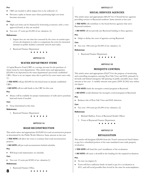#### **Pro:**

- CRFs are needed to allow impact fees to be collected. (1)  $\bullet$
- Prevents a spike in future taxes when purchasing high cost items becomes necessary.

#### **Con:**

- High cost items can be financed by borrowing at interest, with a voter  $\bullet$ approved bond, as they are needed.
- Tax cost: .27 cents per \$1,000 of tax valuation. (2)

#### **References:**

- 1. Impact fees are one time fees assessed by the town on certain types of new development in order to compensate the town for increased demand on public facilities (currently schools and roads).
- 2. Raymond Finance Department

\* \* \* \* \* \*

#### **ARTICLE 15**

## **WATER DEPARTMENT ITEMS**

A Capital Reserve Fund (CRF) is a savings account for the purchase of future items by town departments. This article raises and appropriates \$25,000 to be deposited in the water department's previously established CRFs. There is no tax impact since this is paid for by town water users only. (1)

A **YES VOTE** will put \$25,000 for the listed items in already established CRFs.

A **NO VOTE** will not add funds to the CRF for this year.

**Pro:**

Money will be available for proper maintenance of wells and to purchase land and trucks if needed.

**Con:**

None determined at this time.

#### **References:**

1. Raymond Finance Department

 $\star$ 

#### **ARTICLE 16**

## **ROAD RECONSTRUCTION**

This article raises and appropriates \$149,000 for road reconstruction projects as determined by the Public Works Director. Same amount as last year.

A **YES VOTE** will allow the town to continue their road reconstruction projects.

A **NO VOTE** will put road reconstruction behind schedule.

**Pro:**

Will keep road maintenance on schedule.

**Con:**

Tax cost: 15 cents per \$1000 of tax valuation.(1)  $\bullet$ 

#### **References:**

1. Raymond Finance Office.

8

 $\star$   $\star$   $\star$   $\star$ 

#### **ARTICLE 17**

## **SOCIAL SERVICES AGENCIES**

This article raises and appropriates \$84,347 for 15 Social Service agencies providing services to Raymond residents. Same amount as last year.

A **YES VOTE** will contribute to the Social Service agencies that serve Raymond residents.

A **NO VOTE** will not provide any Raymond funding to these agencies.

**Pro:**

 $\bullet$ Helps to defray the costs of agencies serving Raymond

#### **Con:**

 $\bullet$ Tax cost: .084 cents per \$1,000 of tax valuation. (1)

#### **References:**

1. Raymond Finance Department



### **ARTICLE 18**

### **MOSQUITO CONTROL**

This article raises and appropriates \$54,075 for the purpose of monitoring and controlling mosquitoes carrying West Nile Virus and EEE, primarily by larvicide and limited emergency fall spraying of public assembly areas. Same amount as last year. A variable-amount state grant (2009: \$1,962) may reduce tax impact.

A **YES VOTE** funds the mosquito control program in Raymond.

A **NO VOTE** would eliminate the mosquito control program in Raymond.

**Pro:**

Reduces risk of West Nile Virus and EEE infection.

**Con:**

Tax cost: .054 cents per \$1,000 of tax valuation. (2)  $\bullet$ 

**References:**

- 1. Richard Mailhot, Town of Raymond Health Officer
- 2. Town of Raymond Finance Department

#### \* \* \* \* \* \*

#### **ARTICLE 19**

#### **REVALUATION**

This article will designate \$20,000 from the Town's unreserved fund balance to pay for a scheduled portion of the state mandated town-wide property revaluation.

A **YES VOTE** will fund this year's installment of the revaluation.

A **NO VOTE** will cause a shortfall in the funding for the required revaluation.

**Pro:**

- No new tax impact.(1)
- Town will have sufficient funds on hand to pay for a revaluation in 2011, and will avoid possible fines levied by the state for noncompliance.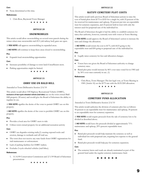#### **Con:**

• None determined at this time.

#### **References:**

1. Chris Rose, Raymond Town Manager

\* \* \* \* \* \*

#### **ARTICLE 20**

#### **SNOWMOBILES**

This article would allow snowmobiling on several town parcels during the winter when state snowmobile trail #15 (old railway bed) gates are open.

A **YES VOTE** will approve snowmobiling in expanded areas.

A **NO VOTE** will continue to keep these areas closed to snowmobiling.

#### **Pro:**

Expands local snowmobiling opportunities  $\bullet$ 

#### **Con:**

- Increases possibility of damage to town land if insufficient snow.  $\bullet$
- Parking opportunities might be limited.



#### **ARTICLE 21**

#### **OHRV USE ON BALD HILL**

Amended at Town Deliberative Session 2/6/10

This article would allow Off Highway Recreational Vehicle (OHRV), **exclusive of two-cycle wheeled vehicle (trail bike)** use on the town owned Bald Hill property (50 acres) and would give the Board of Selectmen the ability to regulate its use.

A **YES VOTE** signifies the desire of the voter to permit OHRV use on this property.

A **NO VOTE** signifies the desire of the voter to prohibit OHRV use on this property.

#### **Pro:**

- Provides a local area for OHRV users to ride
- Utilizes town-owned property for an additional recreation activity  $\bullet$

#### **Con:**

- OHRV use degrades existing trails,(1) causing exposed rocks and erosion, damage to wetlands and off-trail use.
- The town does not receive any state funds from OHRV registrations for  $\bullet$ trail maintenance or enforcement.
- $\bullet$ Lack of parking facilities for OHRV trailers.
- Excludes 2-cycle wheeled vehicles (trail bikes).  $\bullet$

#### **References:**

1. 11/4/09 Conservation Commission and 2/1/09 Board of Selectmen presentations

\* \* \* \* \* \*

#### **ARTICLE 22**

#### **RATIFY CEMETERY PLOT COSTS**

This article would ratify previous Board of Selectmen actions to raise the cost of burial plots from \$175 to \$325 for a single lot, with 25 percent of the fee reserved for maintenance and upkeep, 50 percent put into an expendable trust for cemetery expansion, and 25 percent held in trust with only the interest used for perpetual care of the individual lot.

The Board of Selectmen thought it had the ability to establish cemetery lot rates; that authority, however, currently rests with voters at Town Meeting.

A **YES VOTE** would approve the Board of Selectmen's action to increase the rates and change the allocation.

A **NO VOTE** would return the cost to \$175, with \$125 going to the expendable trust and \$50 going to perpetual care of the individual lot.

#### **Pro:**

Legally raises cemetery lot fees and allocation changes.

#### **Con:**

- Voters have not given the Board of Selectmen authority to change cemetery rates.
- Burial plot price would increase by 86% over rates voted for in 1985 and by 30% over rates currently in use. (1)

#### **References:**

1. Chris Rose, Town Manager: The last legal vote, at Town Meeting in 1985 (Article 10) set the \$175 rate with the \$125/\$50 allocation.

\* \* \* \* \* \*

#### **ARTICLE 23**

#### **CEMETERY FUND ALLOCATION**

Amended at Town Deliberative Session 2/6/10

This article would authorize the division of cemetery plot fees as follows: 50 percent to an expendable trust for maintenance and upkeep, 50 percent to an expendable trust for cemetery expansion.

A **YES VOTE** would require proceeds from the sale of cemetery lots to be divided as described above.

A **NO VOTE** would leave the proceeds divided at approximately 71% maintenance and upkeep, 29% percent expendable trust.

#### **Pro:**

- Burial plot proceeds would help maintain the cemetery as well as individual lots with perpetual care, requiring less expense to the general fund.
- Burial plot proceeds would help pay for cemetery expansion.  $\bullet$

#### **Con:**

 $\bullet$ The cemetery lawns and roads are already maintained as part of the general fund under the regular cemetery maintenance fund.

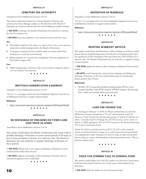#### **ARTICLE 24**

### **CEMETERY FEE AUTHORITY**

Amended at Town Deliberative Session 2/6/10

This article would discontinue the Cemetery Board of Trustees and authorize the Town Manager, subject to the direction of the Board of Selectmen, to increase cemetery plot fees after holding two public hearings.

A **YES VOTE** would give the Board of Selectmen the authority to increase the rate for cemetery lots.

A **NO VOTE** leaves the authority to set cemetery lot fees with the voters.

#### **Pro:**

- $\bullet$ The public would have the chance to express their views on fee increase proposals at public hearings before the Board of Selectmen.
- A change in cemetery lot fees could be made as needed, rather than waiting up to a year for town meeting.
- Brings cemetery fee structure into compliance with state regulations in Title XXVI: chapter 289.

#### **Con:**

Public hearing input is advisory only; voters would no longer be able to  $\bullet$ vote on cemetery rate increases.



#### **ARTICLE 25**

### **MOTTOLO CONSERVATION EASEMENT**

Amended at Town Deliberative Session 2/6/10

"To see" is a tool approved by the New Hampshire Supreme Court for use at Deliberative Sessions to negate warrant articles.

#### **Reference:**

1. <http://www.courts.state.nh.us/supreme/opinions/2008/grant020.pdf>

\* \* \* \*

#### **ARTICLE 26**

## **NO DISCHARGE OF FIREARMS ON TOWN LAND LESS THAN 30 ACRES**

Amended at Town Deliberative Session 2/6/10

This article would advise the Board of Selectmen that voters wish to prohibit discharge of firearms on town-owned parcels of 30 acres or less in close proximity to homes. It is advisory only. The Board of Selectmen has sole authority to regulate discharge of firearms on these parcels.

A **YES VOTE** affirms that a voter opposes discharge of firearms on townowned parcels smaller than 30 acres.

A **NO VOTE** supports continuing to allow discharge of firearms only on currently designated town-owned land.

\* \* \* \* \* \*

#### **ARTICLE 27**

#### **DEFINITION OF MARRIAGE**

Amended at Town Deliberative Session 2/6/10

"To see" is a tool approved by the New Hampshire Supreme Court for use at Deliberative Sessions to negate warrant articles.

#### **Reference:**

1. <http://www.courts.state.nh.us/supreme/opinions/2008/grant020.pdf>

\* \* \* \* \* \*

#### **ARTICLE 28**

### **HUNTING WARRANT ARTICLE**

This article would advise the Selectmen to allow hunting on all Town owned parcels that are alongside large tracts of land open to hunting and that meet the regulations of New Hampshire Fish and Game laws Title XVIII.(1) It is advisory only. The Board of Selectmen has sole authority to regulate hunting on these parcels.

A **YES VOTE** signals the desire to allow hunting on additional Town owned parcels.

A **NO VOTE** would maintain the current Town ordinance prohibiting the discharge of firearms on all Town owned land except for certain large parcels greater than 50 acres.

#### **References:**

1. NH RSA 207:3-a generally prohibits hunting within 300 feet of an occupied dwelling. Title XVIII includes NH RSA chapters 206 through 215-c, which may include additional restrictions.

\* \* \* \* \*

#### **ARTICLE 29**

#### **LAND USE CHANGE TAX**

At a meeting on February 17, 2010, the Board of Selectmen set aside the Deliberative Session amendment of "to see" and reinstated Article 29. However, Town Counsel has advised that passage of Article 29 will have no effect. Currently Land Use Change Tax (LUCT) revenue, set by voters on March 11, 2008, apportions 50% of LUCT revenue to the General Fund and 50% to the Conservation Fund.

Article 29: *Shall we rescind the provisions of RSA 79-A:25-a which account for revenues received from the land use change tax in a fund separate from the general fund? Any unappropriated surplus remaining in the land use change tax fund, and any future land use change tax revenues shall immediately be deemed general fund revenue.* This is a petition warrant article.

\* \* \* \* \* \*

#### **ARTICLE 30**

## **YIELD TAX (TIMBER TAX) TO GENERAL FUND**

This article would redirect the Yield Tax (timber tax) from the Conservation Fund into the General Fund for use for the town as determined by the Selectmen.

A **YES VOTE** shifts the timber tax into the General Fund.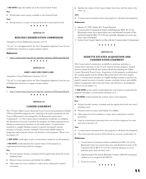#### A **NO VOTE** keeps the timber tax in the Conservation Fund.

#### **Pro:**

Would make more money available to the General Fund.

#### **Con:**

Would remove a source of income from the Conservation Fund.

\* \* \* \* \*

#### **ARTICLE 31**

#### **RESCIND CONSERVATION COMMISSION**

Amended at Town Deliberative Session 2/6/10

"To see" is a tool approved by the New Hampshire Supreme Court for use at Deliberative Sessions to negate warrant articles.

#### **Reference:**

1. <http://www.courts.state.nh.us/supreme/opinions/2008/grant020.pdf>

\* \* \* \* \* \*

#### **ARTICLE 32**

#### **OHRV LAWS FOR TOWN LAND**

Amended at Town Deliberative Session 2/6/10

"To see" is a tool approved by the New Hampshire Supreme Court for use at Deliberative Sessions to negate warrant articles.

#### **Reference:**

1. <http://www.courts.state.nh.us/supreme/opinions/2008/grant020.pdf>

\* \* \* \* \* \*

#### **ARTICLE 33**

## **CASSIER EASEMENT**

The 370 acre Lillian Cassier Memorial Town Forest was purchased in March 1999 for \$160,000 stating that the "land [is] to be held in perpetuity by the Town of Raymond to be managed by the Raymond Conservation Commission". (1) The Conservation Commission would like to complete the transaction necessary to protect the property for future generations by placing a conservation easement on the entire parcel. A conservation easement is a legally binding contract to protect the parcel's natural resources of ponds, streams, wetlands, forests and wildlife habitat in perpetuity and to prevent future sub-division or development. There is no tax impact. (2)

A **YES VOTE** would agree to put a conservation easement on this property.

A **NO VOTE** would maintain the current status of the property as unprotected from future land use changes.

#### **Pro:**

- Protects ponds, streams, wetlands and the aquifer that feeds the town's drinking water.
- Protects forest resources and habitat for wildlife.
- Open space for town residents to enjoy active and passive outdoor recreation.

Satisfies the intent of the Cassier family when they sold the land to the  $\bullet$ town. (3)

#### **Con:**

A conservation easement closes the property to all future development.

#### **References:**

- 1. March 19, 1999 Article #11 Town Warrant
- 2. Conservation Commission funds established per RSA 36-A:5 by Raymond voters for conservation uses and deemed not part of the General Fund by RSA 79-A:25 are currently adequate to cover onetime costs of transfer.
- 3. Letter from Cassier family on file with the Conservation Commission.

\* \* \* \* \* \*

#### **ARTICLE 34**

## **AUDETTE ESTATES ACQUISITION AND CONSERVATION EASEMENT**

The Conservation Commission would like to purchase and place a conservation easement on the 78 acre Audette Estates property, located between Smith Pond Road and Audette Road and abutting the Lillian Cassier Memorial Town Forest. Acquisition of this property would protect the existing aquifer and the Dudley Brook that flows into the Lamprey River. A conservation easement is a legally binding contract to protect the parcel's natural resources of ponds, streams, wetlands, forests and wildlife habitat in perpetuity and to prevent future sub-division or development. There is no tax impact. (1)

A **YES VOTE** on this article would signal the voter's desire to purchase the property and place a conservation easement on it.

A **NO VOTE** would maintain the current status of the property.

#### **Pro:**

- Protects ponds, streams, wetlands and the aquifer that feeds the town's  $\bullet$ drinking water.
- Protects forest resources and habitat for wildlife.
- Open space for town residents to enjoy active and passive outdoor  $\bullet$ recreation.
- Land in conservation easements does not cost the taxpayers for town and school services. (2)

#### **Con:**

- A conservation easement closes the property to all future development.
- The town currently receives \$149 annual tax revenue on this land. (3)

#### **References:**

- 1. Conservation Commission funds established per RSA 36-A:5 by Raymond voters for conservation uses and deemed not part of the General Fund by RSA 79-A:25 are currently adequate to cover purchase price and one-time costs.
- 2. Superintendent Dr. Jeanne Richards: Current (2008-09) annual per student cost to taxpayers: \$12,860.92.
- 3. Town tax records.

\* \* \* \* \*